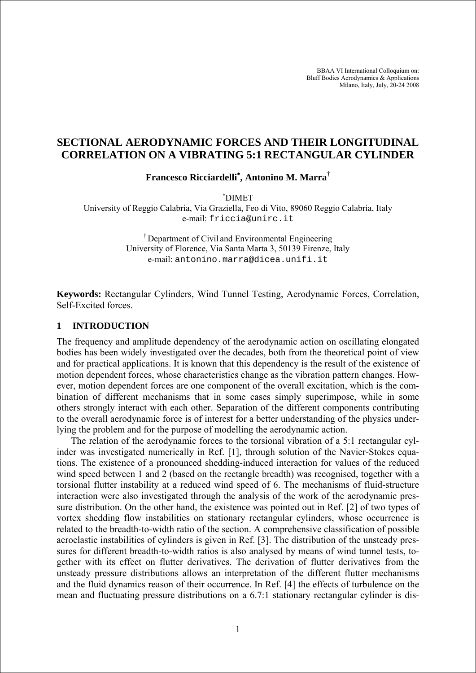BBAA VI International Colloquium on: Bluff Bodies Aerodynamics & Applications Milano, Italy, July, 20-24 2008

# **SECTIONAL AERODYNAMIC FORCES AND THEIR LONGITUDINAL CORRELATION ON A VIBRATING 5:1 RECTANGULAR CYLINDER**

**Francesco Ricciardelli**<sup>∗</sup> **, Antonino M. Marra†**

∗ DIMET

University of Reggio Calabria, Via Graziella, Feo di Vito, 89060 Reggio Calabria, Italy e-mail: friccia@unirc.it

> † Department of Civil and Environmental Engineering University of Florence, Via Santa Marta 3, 50139 Firenze, Italy e-mail: antonino.marra@dicea.unifi.it

**Keywords:** Rectangular Cylinders, Wind Tunnel Testing, Aerodynamic Forces, Correlation, Self-Excited forces.

#### **1 INTRODUCTION**

The frequency and amplitude dependency of the aerodynamic action on oscillating elongated bodies has been widely investigated over the decades, both from the theoretical point of view and for practical applications. It is known that this dependency is the result of the existence of motion dependent forces, whose characteristics change as the vibration pattern changes. However, motion dependent forces are one component of the overall excitation, which is the combination of different mechanisms that in some cases simply superimpose, while in some others strongly interact with each other. Separation of the different components contributing to the overall aerodynamic force is of interest for a better understanding of the physics underlying the problem and for the purpose of modelling the aerodynamic action.

The relation of the aerodynamic forces to the torsional vibration of a 5:1 rectangular cylinder was investigated numerically in Ref. [1], through solution of the Navier-Stokes equations. The existence of a pronounced shedding-induced interaction for values of the reduced wind speed between 1 and 2 (based on the rectangle breadth) was recognised, together with a torsional flutter instability at a reduced wind speed of 6. The mechanisms of fluid-structure interaction were also investigated through the analysis of the work of the aerodynamic pressure distribution. On the other hand, the existence was pointed out in Ref. [2] of two types of vortex shedding flow instabilities on stationary rectangular cylinders, whose occurrence is related to the breadth-to-width ratio of the section. A comprehensive classification of possible aeroelastic instabilities of cylinders is given in Ref. [3]. The distribution of the unsteady pressures for different breadth-to-width ratios is also analysed by means of wind tunnel tests, together with its effect on flutter derivatives. The derivation of flutter derivatives from the unsteady pressure distributions allows an interpretation of the different flutter mechanisms and the fluid dynamics reason of their occurrence. In Ref. [4] the effects of turbulence on the mean and fluctuating pressure distributions on a 6.7:1 stationary rectangular cylinder is dis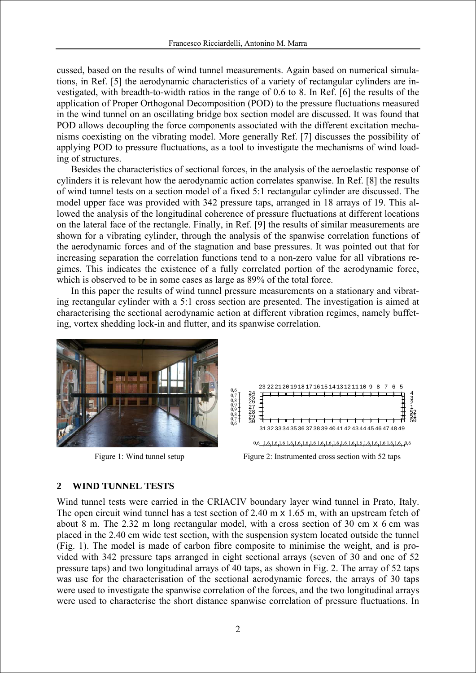cussed, based on the results of wind tunnel measurements. Again based on numerical simulations, in Ref. [5] the aerodynamic characteristics of a variety of rectangular cylinders are investigated, with breadth-to-width ratios in the range of 0.6 to 8. In Ref. [6] the results of the application of Proper Orthogonal Decomposition (POD) to the pressure fluctuations measured in the wind tunnel on an oscillating bridge box section model are discussed. It was found that POD allows decoupling the force components associated with the different excitation mechanisms coexisting on the vibrating model. More generally Ref. [7] discusses the possibility of applying POD to pressure fluctuations, as a tool to investigate the mechanisms of wind loading of structures.

Besides the characteristics of sectional forces, in the analysis of the aeroelastic response of cylinders it is relevant how the aerodynamic action correlates spanwise. In Ref. [8] the results of wind tunnel tests on a section model of a fixed 5:1 rectangular cylinder are discussed. The model upper face was provided with 342 pressure taps, arranged in 18 arrays of 19. This allowed the analysis of the longitudinal coherence of pressure fluctuations at different locations on the lateral face of the rectangle. Finally, in Ref. [9] the results of similar measurements are shown for a vibrating cylinder, through the analysis of the spanwise correlation functions of the aerodynamic forces and of the stagnation and base pressures. It was pointed out that for increasing separation the correlation functions tend to a non-zero value for all vibrations regimes. This indicates the existence of a fully correlated portion of the aerodynamic force, which is observed to be in some cases as large as 89% of the total force.

In this paper the results of wind tunnel pressure measurements on a stationary and vibrating rectangular cylinder with a 5:1 cross section are presented. The investigation is aimed at characterising the sectional aerodynamic action at different vibration regimes, namely buffeting, vortex shedding lock-in and flutter, and its spanwise correlation.





## **2 WIND TUNNEL TESTS**

Wind tunnel tests were carried in the CRIACIV boundary layer wind tunnel in Prato, Italy. The open circuit wind tunnel has a test section of 2.40 m  $\times$  1.65 m, with an upstream fetch of about 8 m. The 2.32 m long rectangular model, with a cross section of 30 cm x 6 cm was placed in the 2.40 cm wide test section, with the suspension system located outside the tunnel (Fig. 1). The model is made of carbon fibre composite to minimise the weight, and is provided with 342 pressure taps arranged in eight sectional arrays (seven of 30 and one of 52 pressure taps) and two longitudinal arrays of 40 taps, as shown in Fig. 2. The array of 52 taps was use for the characterisation of the sectional aerodynamic forces, the arrays of 30 taps were used to investigate the spanwise correlation of the forces, and the two longitudinal arrays were used to characterise the short distance spanwise correlation of pressure fluctuations. In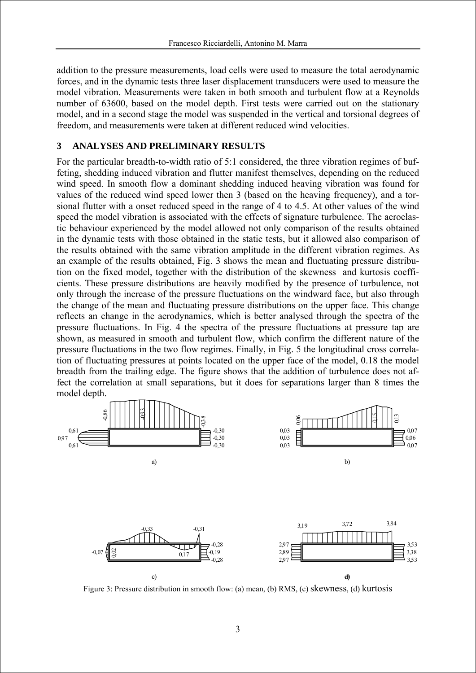addition to the pressure measurements, load cells were used to measure the total aerodynamic forces, and in the dynamic tests three laser displacement transducers were used to measure the model vibration. Measurements were taken in both smooth and turbulent flow at a Reynolds number of 63600, based on the model depth. First tests were carried out on the stationary model, and in a second stage the model was suspended in the vertical and torsional degrees of freedom, and measurements were taken at different reduced wind velocities.

### **3 ANALYSES AND PRELIMINARY RESULTS**

For the particular breadth-to-width ratio of 5:1 considered, the three vibration regimes of buffeting, shedding induced vibration and flutter manifest themselves, depending on the reduced wind speed. In smooth flow a dominant shedding induced heaving vibration was found for values of the reduced wind speed lower then 3 (based on the heaving frequency), and a torsional flutter with a onset reduced speed in the range of 4 to 4.5. At other values of the wind speed the model vibration is associated with the effects of signature turbulence. The aeroelastic behaviour experienced by the model allowed not only comparison of the results obtained in the dynamic tests with those obtained in the static tests, but it allowed also comparison of the results obtained with the same vibration amplitude in the different vibration regimes. As an example of the results obtained, Fig. 3 shows the mean and fluctuating pressure distribution on the fixed model, together with the distribution of the skewness and kurtosis coefficients. These pressure distributions are heavily modified by the presence of turbulence, not only through the increase of the pressure fluctuations on the windward face, but also through the change of the mean and fluctuating pressure distributions on the upper face. This change reflects an change in the aerodynamics, which is better analysed through the spectra of the pressure fluctuations. In Fig. 4 the spectra of the pressure fluctuations at pressure tap are shown, as measured in smooth and turbulent flow, which confirm the different nature of the pressure fluctuations in the two flow regimes. Finally, in Fig. 5 the longitudinal cross correlation of fluctuating pressures at points located on the upper face of the model, 0.18 the model breadth from the trailing edge. The figure shows that the addition of turbulence does not affect the correlation at small separations, but it does for separations larger than 8 times the model depth.



Figure 3: Pressure distribution in smooth flow: (a) mean, (b) RMS, (c) skewness, (d) kurtosis